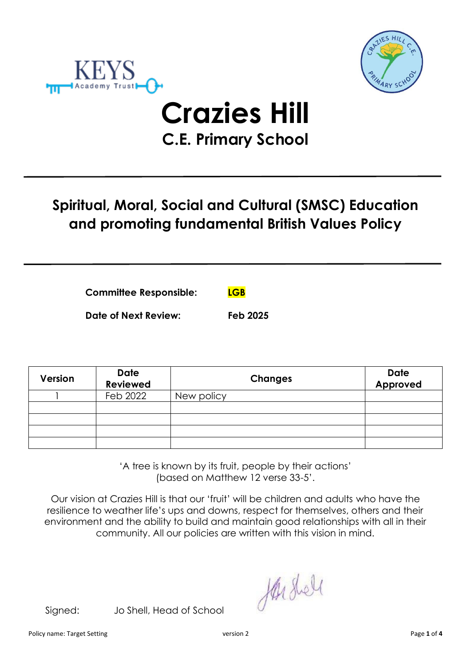



# **Crazies Hill C.E. Primary School**

## **Spiritual, Moral, Social and Cultural (SMSC) Education and promoting fundamental British Values Policy**

**Committee Responsible: LGB**

**Date of Next Review: Feb 2025**

| <b>Version</b> | <b>Date</b><br><b>Reviewed</b> | <b>Changes</b> | <b>Date</b><br>Approved |
|----------------|--------------------------------|----------------|-------------------------|
|                | Feb 2022                       | New policy     |                         |
|                |                                |                |                         |
|                |                                |                |                         |
|                |                                |                |                         |
|                |                                |                |                         |

'A tree is known by its fruit, people by their actions' (based on Matthew 12 verse 33-5'.

Our vision at Crazies Hill is that our 'fruit' will be children and adults who have the resilience to weather life's ups and downs, respect for themselves, others and their environment and the ability to build and maintain good relationships with all in their community. All our policies are written with this vision in mind.

Harshell

Signed: Jo Shell, Head of School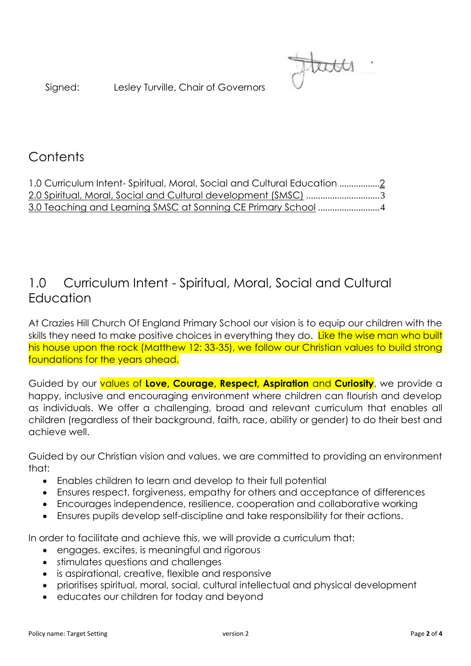

Signed: Lesley Turville, Chair of Governors

#### **Contents**

| 1.0 Curriculum Intent-Spiritual, Moral, Social and Cultural Education 2 |  |
|-------------------------------------------------------------------------|--|
| 2.0 Spiritual, Moral, Social and Cultural development (SMSC) 3          |  |
|                                                                         |  |

#### 1.0 Curriculum Intent - Spiritual, Moral, Social and Cultural Education

At Crazies Hill Church Of England Primary School our vision is to equip our children with the skills they need to make positive choices in everything they do. Like the wise man who built his house upon the rock (Matthew 12: 33-35), we follow our Christian values to build strong foundations for the years ahead.

Guided by our values of **Love, Courage, Respect, Aspiration** and **Curiosity**, we provide a happy, inclusive and encouraging environment where children can flourish and develop as individuals. We offer a challenging, broad and relevant curriculum that enables all children (regardless of their background, faith, race, ability or gender) to do their best and achieve well.

Guided by our Christian vision and values, we are committed to providing an environment that:

- Enables children to learn and develop to their full potential
- Ensures respect, forgiveness, empathy for others and acceptance of differences
- Encourages independence, resilience, cooperation and collaborative working
- Ensures pupils develop self-discipline and take responsibility for their actions.

In order to facilitate and achieve this, we will provide a curriculum that:

- engages, excites, is meaningful and rigorous
- stimulates questions and challenges
- is aspirational, creative, flexible and responsive
- prioritises spiritual, moral, social, cultural intellectual and physical development
- educates our children for today and beyond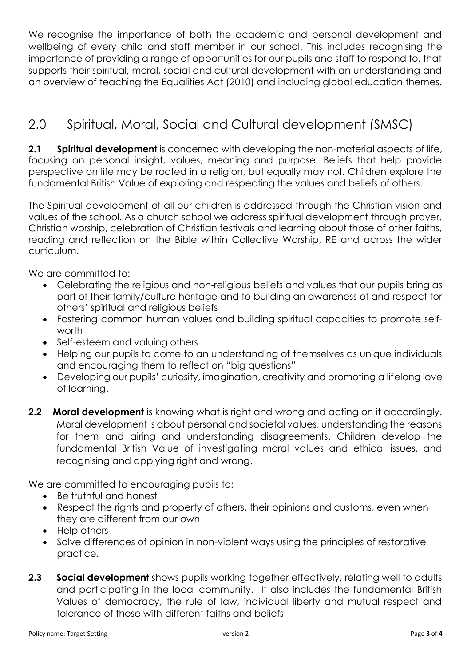We recognise the importance of both the academic and personal development and wellbeing of every child and staff member in our school. This includes recognising the importance of providing a range of opportunities for our pupils and staff to respond to, that supports their spiritual, moral, social and cultural development with an understanding and an overview of teaching the Equalities Act (2010) and including global education themes.

### 2.0 Spiritual, Moral, Social and Cultural development (SMSC)

**2.1** Spiritual development is concerned with developing the non-material aspects of life, focusing on personal insight, values, meaning and purpose. Beliefs that help provide perspective on life may be rooted in a religion, but equally may not. Children explore the fundamental British Value of exploring and respecting the values and beliefs of others.

The Spiritual development of all our children is addressed through the Christian vision and values of the school. As a church school we address spiritual development through prayer, Christian worship, celebration of Christian festivals and learning about those of other faiths, reading and reflection on the Bible within Collective Worship, RE and across the wider curriculum.

We are committed to:

- Celebrating the religious and non-religious beliefs and values that our pupils bring as part of their family/culture heritage and to building an awareness of and respect for others' spiritual and religious beliefs
- Fostering common human values and building spiritual capacities to promote selfworth
- Self-esteem and valuing others
- Helping our pupils to come to an understanding of themselves as unique individuals and encouraging them to reflect on "big questions"
- Developing our pupils' curiosity, imagination, creativity and promoting a lifelong love of learning.
- **2.2 Moral development** is knowing what is right and wrong and acting on it accordingly. Moral development is about personal and societal values, understanding the reasons for them and airing and understanding disagreements. Children develop the fundamental British Value of investigating moral values and ethical issues, and recognising and applying right and wrong.

We are committed to encouraging pupils to:

- Be truthful and honest
- Respect the rights and property of others, their opinions and customs, even when they are different from our own
- Help others
- Solve differences of opinion in non-violent ways using the principles of restorative practice.
- **2.3 Social development** shows pupils working together effectively, relating well to adults and participating in the local community. It also includes the fundamental British Values of democracy, the rule of law, individual liberty and mutual respect and tolerance of those with different faiths and beliefs